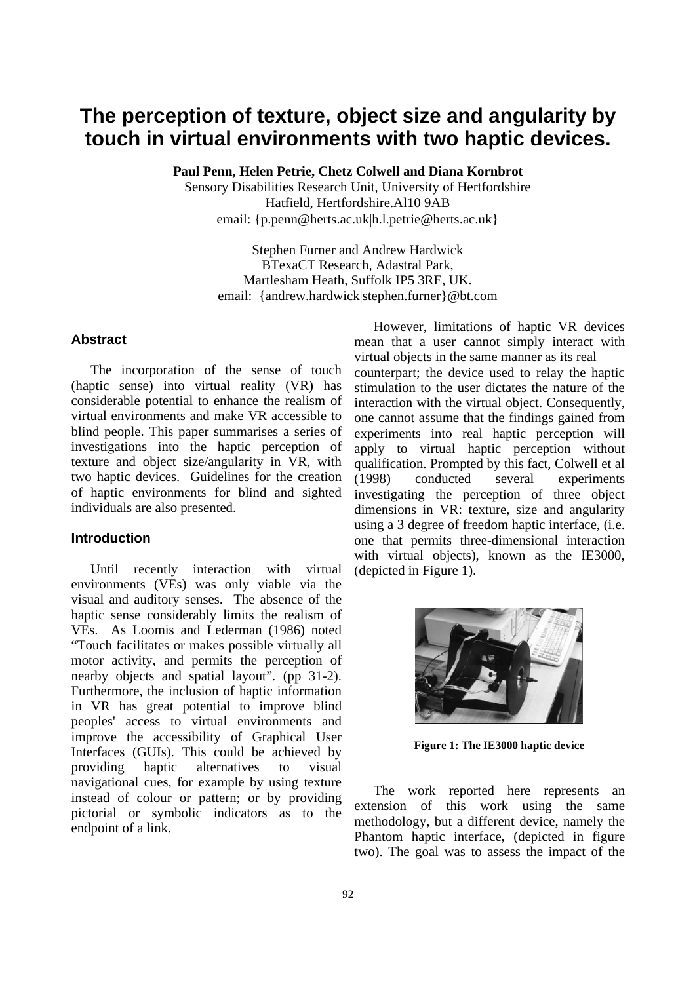# **The perception of texture, object size and angularity by touch in virtual environments with two haptic devices.**

**Paul Penn, Helen Petrie, Chetz Colwell and Diana Kornbrot** 

Sensory Disabilities Research Unit, University of Hertfordshire Hatfield, Hertfordshire.Al10 9AB email: {p.penn@herts.ac.uk|h.l.petrie@herts.ac.uk}

Stephen Furner and Andrew Hardwick BTexaCT Research, Adastral Park, Martlesham Heath, Suffolk IP5 3RE, UK. email: {andrew.hardwick|stephen.furner}@bt.com

## **Abstract**

The incorporation of the sense of touch (haptic sense) into virtual reality (VR) has considerable potential to enhance the realism of virtual environments and make VR accessible to blind people. This paper summarises a series of investigations into the haptic perception of texture and object size/angularity in VR, with two haptic devices. Guidelines for the creation of haptic environments for blind and sighted individuals are also presented.

### **Introduction**

Until recently interaction with virtual environments (VEs) was only viable via the visual and auditory senses. The absence of the haptic sense considerably limits the realism of VEs. As Loomis and Lederman (1986) noted "Touch facilitates or makes possible virtually all motor activity, and permits the perception of nearby objects and spatial layout". (pp 31-2). Furthermore, the inclusion of haptic information in VR has great potential to improve blind peoples' access to virtual environments and improve the accessibility of Graphical User Interfaces (GUIs). This could be achieved by providing haptic alternatives to visual navigational cues, for example by using texture instead of colour or pattern; or by providing pictorial or symbolic indicators as to the endpoint of a link.

However, limitations of haptic VR devices mean that a user cannot simply interact with virtual objects in the same manner as its real counterpart; the device used to relay the haptic stimulation to the user dictates the nature of the interaction with the virtual object. Consequently, one cannot assume that the findings gained from experiments into real haptic perception will apply to virtual haptic perception without qualification. Prompted by this fact, Colwell et al (1998) conducted several experiments investigating the perception of three object dimensions in VR: texture, size and angularity using a 3 degree of freedom haptic interface, (i.e. one that permits three-dimensional interaction with virtual objects), known as the IE3000, (depicted in Figure 1).



**Figure 1: The IE3000 haptic device** 

The work reported here represents an extension of this work using the same methodology, but a different device, namely the Phantom haptic interface, (depicted in figure two). The goal was to assess the impact of the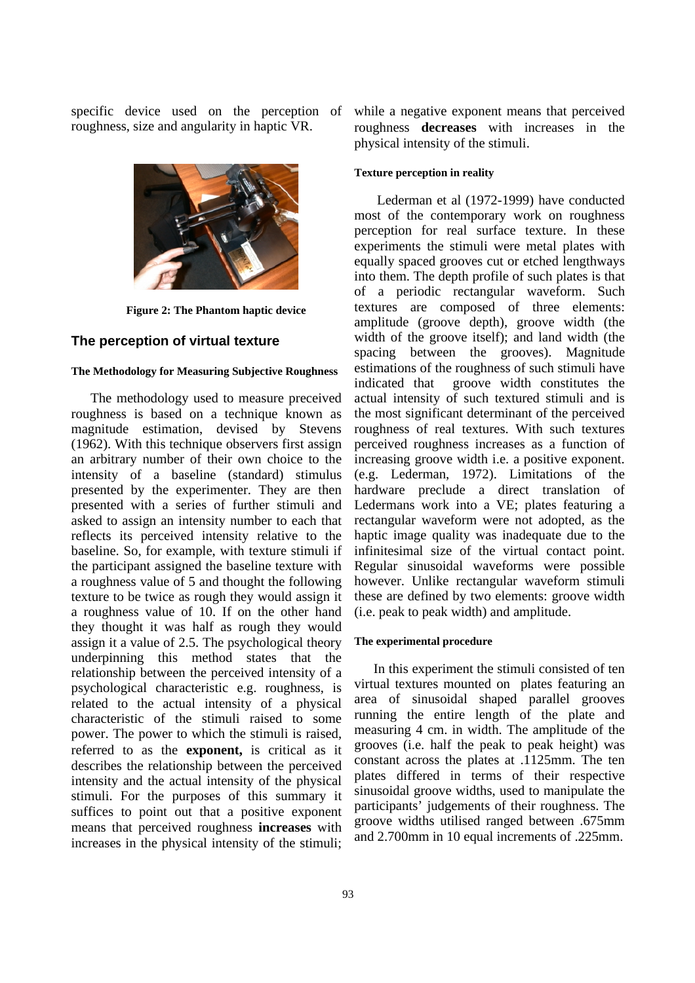specific device used on the perception of roughness, size and angularity in haptic VR.



**Figure 2: The Phantom haptic device** 

#### **The perception of virtual texture**

#### **The Methodology for Measuring Subjective Roughness**

The methodology used to measure preceived roughness is based on a technique known as magnitude estimation, devised by Stevens (1962). With this technique observers first assign an arbitrary number of their own choice to the intensity of a baseline (standard) stimulus presented by the experimenter. They are then presented with a series of further stimuli and asked to assign an intensity number to each that reflects its perceived intensity relative to the baseline. So, for example, with texture stimuli if the participant assigned the baseline texture with a roughness value of 5 and thought the following texture to be twice as rough they would assign it a roughness value of 10. If on the other hand they thought it was half as rough they would assign it a value of 2.5. The psychological theory underpinning this method states that the relationship between the perceived intensity of a psychological characteristic e.g. roughness, is related to the actual intensity of a physical characteristic of the stimuli raised to some power. The power to which the stimuli is raised, referred to as the **exponent,** is critical as it describes the relationship between the perceived intensity and the actual intensity of the physical stimuli. For the purposes of this summary it suffices to point out that a positive exponent means that perceived roughness **increases** with increases in the physical intensity of the stimuli;

while a negative exponent means that perceived roughness **decreases** with increases in the physical intensity of the stimuli.

#### **Texture perception in reality**

 Lederman et al (1972-1999) have conducted most of the contemporary work on roughness perception for real surface texture. In these experiments the stimuli were metal plates with equally spaced grooves cut or etched lengthways into them. The depth profile of such plates is that of a periodic rectangular waveform. Such textures are composed of three elements: amplitude (groove depth), groove width (the width of the groove itself); and land width (the spacing between the grooves). Magnitude estimations of the roughness of such stimuli have indicated that groove width constitutes the actual intensity of such textured stimuli and is the most significant determinant of the perceived roughness of real textures. With such textures perceived roughness increases as a function of increasing groove width i.e. a positive exponent. (e.g. Lederman, 1972). Limitations of the hardware preclude a direct translation of Ledermans work into a VE; plates featuring a rectangular waveform were not adopted, as the haptic image quality was inadequate due to the infinitesimal size of the virtual contact point. Regular sinusoidal waveforms were possible however. Unlike rectangular waveform stimuli these are defined by two elements: groove width (i.e. peak to peak width) and amplitude.

#### **The experimental procedure**

In this experiment the stimuli consisted of ten virtual textures mounted on plates featuring an area of sinusoidal shaped parallel grooves running the entire length of the plate and measuring 4 cm. in width. The amplitude of the grooves (i.e. half the peak to peak height) was constant across the plates at .1125mm. The ten plates differed in terms of their respective sinusoidal groove widths, used to manipulate the participants' judgements of their roughness. The groove widths utilised ranged between .675mm and 2.700mm in 10 equal increments of .225mm.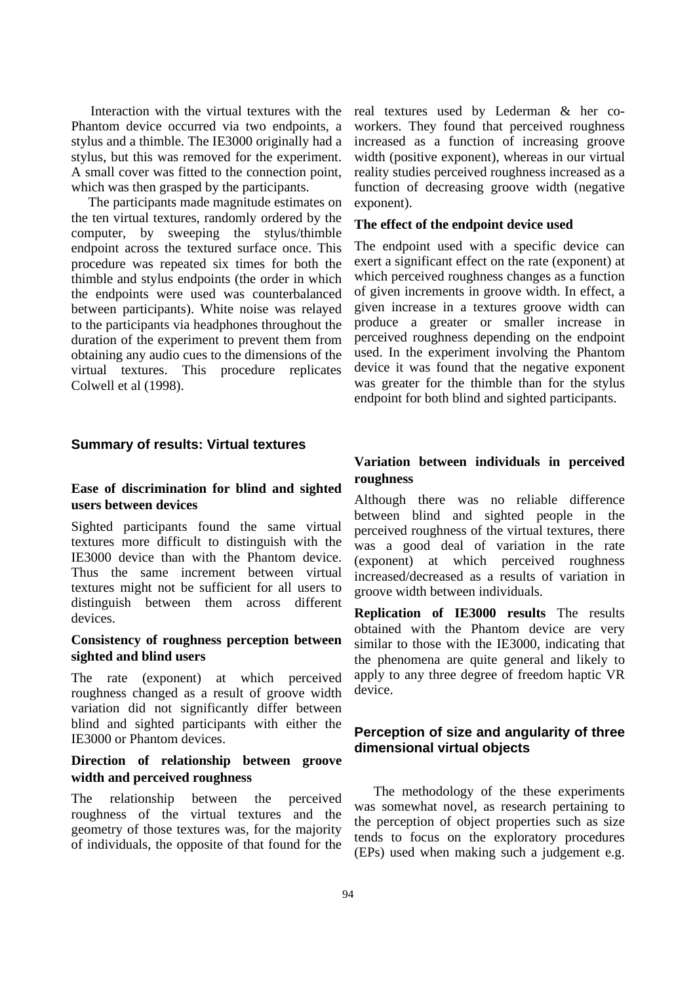Interaction with the virtual textures with the Phantom device occurred via two endpoints, a stylus and a thimble. The IE3000 originally had a stylus, but this was removed for the experiment. A small cover was fitted to the connection point, which was then grasped by the participants.

 The participants made magnitude estimates on the ten virtual textures, randomly ordered by the computer, by sweeping the stylus/thimble endpoint across the textured surface once. This procedure was repeated six times for both the thimble and stylus endpoints (the order in which the endpoints were used was counterbalanced between participants). White noise was relayed to the participants via headphones throughout the duration of the experiment to prevent them from obtaining any audio cues to the dimensions of the virtual textures. This procedure replicates Colwell et al (1998).

**Summary of results: Virtual textures** 

## **Ease of discrimination for blind and sighted users between devices**

Sighted participants found the same virtual textures more difficult to distinguish with the IE3000 device than with the Phantom device. Thus the same increment between virtual textures might not be sufficient for all users to distinguish between them across different devices.

## **Consistency of roughness perception between sighted and blind users**

The rate (exponent) at which perceived roughness changed as a result of groove width variation did not significantly differ between blind and sighted participants with either the IE3000 or Phantom devices.

## **Direction of relationship between groove width and perceived roughness**

The relationship between the perceived roughness of the virtual textures and the geometry of those textures was, for the majority of individuals, the opposite of that found for the

real textures used by Lederman & her coworkers. They found that perceived roughness increased as a function of increasing groove width (positive exponent), whereas in our virtual reality studies perceived roughness increased as a function of decreasing groove width (negative exponent).

#### **The effect of the endpoint device used**

The endpoint used with a specific device can exert a significant effect on the rate (exponent) at which perceived roughness changes as a function of given increments in groove width. In effect, a given increase in a textures groove width can produce a greater or smaller increase in perceived roughness depending on the endpoint used. In the experiment involving the Phantom device it was found that the negative exponent was greater for the thimble than for the stylus endpoint for both blind and sighted participants.

## **Variation between individuals in perceived roughness**

Although there was no reliable difference between blind and sighted people in the perceived roughness of the virtual textures, there was a good deal of variation in the rate (exponent) at which perceived roughness increased/decreased as a results of variation in groove width between individuals.

**Replication of IE3000 results** The results obtained with the Phantom device are very similar to those with the IE3000, indicating that the phenomena are quite general and likely to apply to any three degree of freedom haptic VR device.

## **Perception of size and angularity of three dimensional virtual objects**

The methodology of the these experiments was somewhat novel, as research pertaining to the perception of object properties such as size tends to focus on the exploratory procedures (EPs) used when making such a judgement e.g.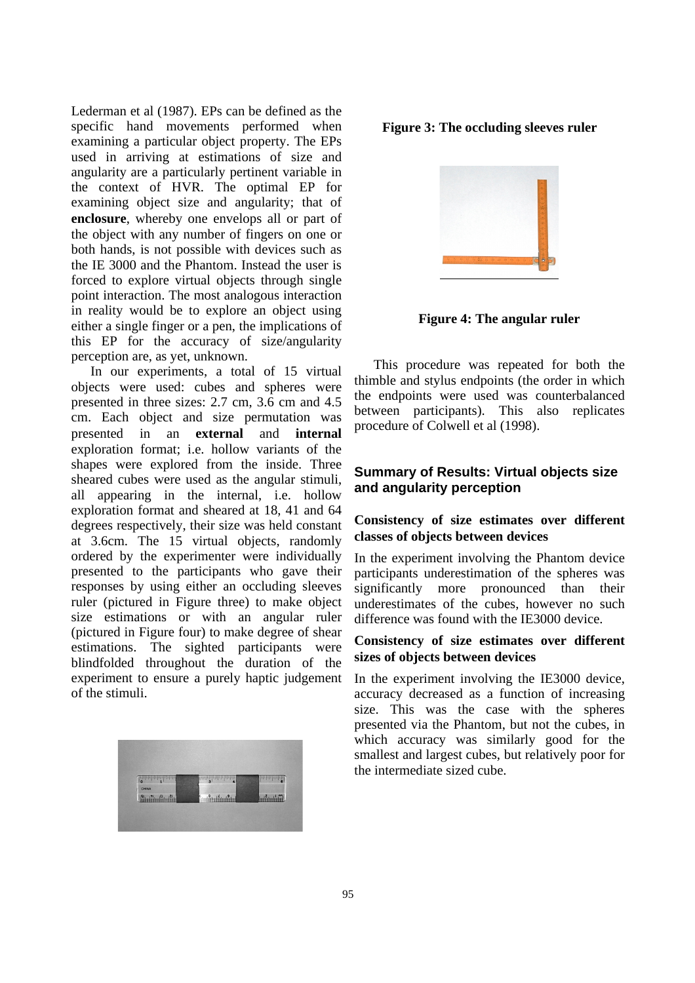Lederman et al (1987). EPs can be defined as the specific hand movements performed when examining a particular object property. The EPs used in arriving at estimations of size and angularity are a particularly pertinent variable in the context of HVR. The optimal EP for examining object size and angularity; that of **enclosure**, whereby one envelops all or part of the object with any number of fingers on one or both hands, is not possible with devices such as the IE 3000 and the Phantom. Instead the user is forced to explore virtual objects through single point interaction. The most analogous interaction in reality would be to explore an object using either a single finger or a pen, the implications of this EP for the accuracy of size/angularity perception are, as yet, unknown.

In our experiments, a total of 15 virtual objects were used: cubes and spheres were presented in three sizes: 2.7 cm, 3.6 cm and 4.5 cm. Each object and size permutation was presented in an **external** and **internal** exploration format; i.e. hollow variants of the shapes were explored from the inside. Three sheared cubes were used as the angular stimuli, all appearing in the internal, i.e. hollow exploration format and sheared at 18, 41 and 64 degrees respectively, their size was held constant at 3.6cm. The 15 virtual objects, randomly ordered by the experimenter were individually presented to the participants who gave their responses by using either an occluding sleeves ruler (pictured in Figure three) to make object size estimations or with an angular ruler (pictured in Figure four) to make degree of shear estimations. The sighted participants were blindfolded throughout the duration of the experiment to ensure a purely haptic judgement of the stimuli.



#### **Figure 3: The occluding sleeves ruler**



**Figure 4: The angular ruler** 

This procedure was repeated for both the thimble and stylus endpoints (the order in which the endpoints were used was counterbalanced between participants). This also replicates procedure of Colwell et al (1998).

## **Summary of Results: Virtual objects size and angularity perception**

## **Consistency of size estimates over different classes of objects between devices**

In the experiment involving the Phantom device participants underestimation of the spheres was significantly more pronounced than their underestimates of the cubes, however no such difference was found with the IE3000 device.

## **Consistency of size estimates over different sizes of objects between devices**

In the experiment involving the IE3000 device, accuracy decreased as a function of increasing size. This was the case with the spheres presented via the Phantom, but not the cubes, in which accuracy was similarly good for the smallest and largest cubes, but relatively poor for the intermediate sized cube.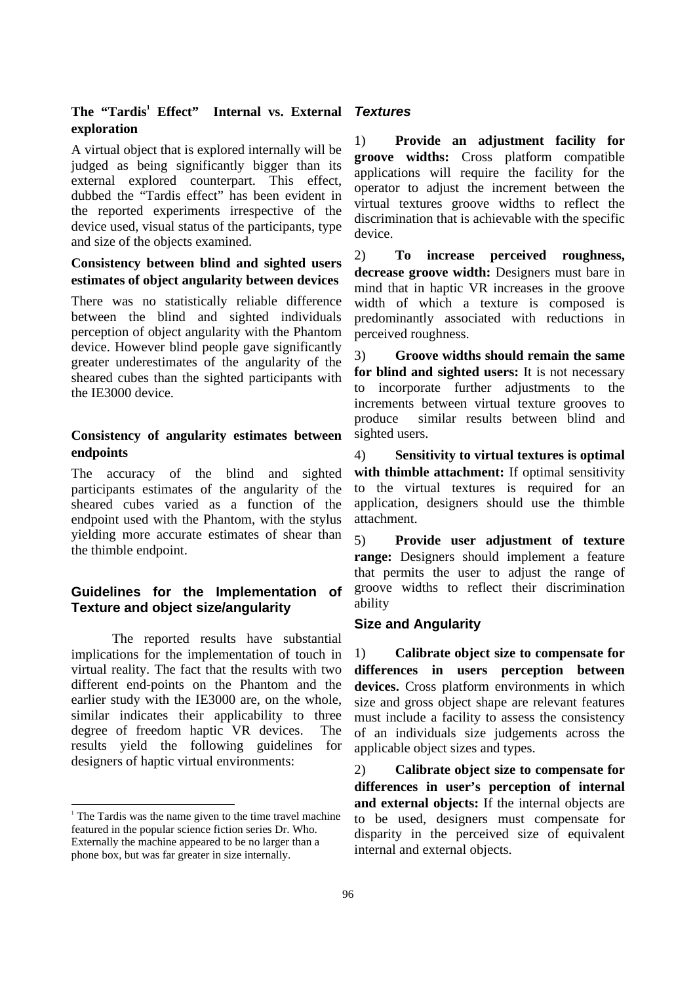## The "Tardis<sup>1</sup> Effect" Internal vs. External **exploration**

A virtual object that is explored internally will be judged as being significantly bigger than its external explored counterpart. This effect, dubbed the "Tardis effect" has been evident in the reported experiments irrespective of the device used, visual status of the participants, type and size of the objects examined.

## **Consistency between blind and sighted users estimates of object angularity between devices**

There was no statistically reliable difference between the blind and sighted individuals perception of object angularity with the Phantom device. However blind people gave significantly greater underestimates of the angularity of the sheared cubes than the sighted participants with the IE3000 device.

## **Consistency of angularity estimates between endpoints**

The accuracy of the blind and sighted participants estimates of the angularity of the sheared cubes varied as a function of the endpoint used with the Phantom, with the stylus yielding more accurate estimates of shear than the thimble endpoint.

## **Guidelines for the Implementation of Texture and object size/angularity**

The reported results have substantial implications for the implementation of touch in virtual reality. The fact that the results with two different end-points on the Phantom and the earlier study with the IE3000 are, on the whole, similar indicates their applicability to three degree of freedom haptic VR devices. The results yield the following guidelines for designers of haptic virtual environments:

j

## *Textures*

1) **Provide an adjustment facility for groove widths:** Cross platform compatible applications will require the facility for the operator to adjust the increment between the virtual textures groove widths to reflect the discrimination that is achievable with the specific device.

2) **To increase perceived roughness, decrease groove width:** Designers must bare in mind that in haptic VR increases in the groove width of which a texture is composed is predominantly associated with reductions in perceived roughness.

3) **Groove widths should remain the same for blind and sighted users:** It is not necessary to incorporate further adjustments to the increments between virtual texture grooves to produce similar results between blind and sighted users.

4) **Sensitivity to virtual textures is optimal**  with thimble attachment: If optimal sensitivity to the virtual textures is required for an application, designers should use the thimble attachment.

5) **Provide user adjustment of texture range:** Designers should implement a feature that permits the user to adjust the range of groove widths to reflect their discrimination ability

## **Size and Angularity**

1) **Calibrate object size to compensate for differences in users perception between devices.** Cross platform environments in which size and gross object shape are relevant features must include a facility to assess the consistency of an individuals size judgements across the applicable object sizes and types.

2) **Calibrate object size to compensate for differences in user's perception of internal and external objects:** If the internal objects are to be used, designers must compensate for disparity in the perceived size of equivalent internal and external objects.

<sup>&</sup>lt;sup>1</sup> The Tardis was the name given to the time travel machine featured in the popular science fiction series Dr. Who. Externally the machine appeared to be no larger than a phone box, but was far greater in size internally.